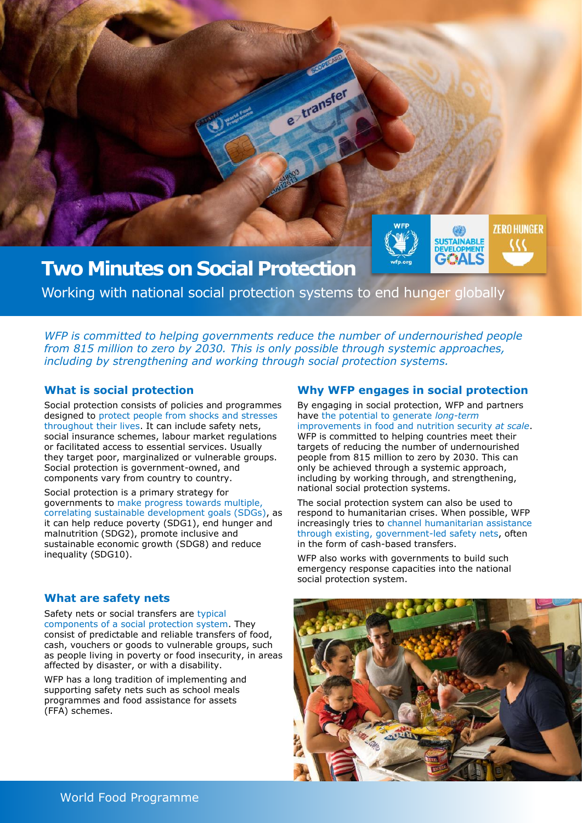

Working with national social protection systems to end hunger globally

*WFP is committed to helping governments reduce the number of undernourished people from 815 million to zero by 2030. This is only possible through systemic approaches, including by strengthening and working through social protection systems.* 

## **What is social protection**

Social protection consists of policies and programmes designed to protect people from shocks and stresses throughout their lives. It can include safety nets, social insurance schemes, labour market regulations or facilitated access to essential services. Usually they target poor, marginalized or vulnerable groups. Social protection is government-owned, and components vary from country to country.

Social protection is a primary strategy for governments to make progress towards multiple, correlating sustainable development goals (SDGs), as it can help reduce poverty (SDG1), end hunger and malnutrition (SDG2), promote inclusive and sustainable economic growth (SDG8) and reduce inequality (SDG10).

## **What are safety nets**

Safety nets or social transfers are typical components of a social protection system. They consist of predictable and reliable transfers of food, cash, vouchers or goods to vulnerable groups, such as people living in poverty or food insecurity, in areas affected by disaster, or with a disability.

WFP has a long tradition of implementing and supporting safety nets such as school meals programmes and food assistance for assets (FFA) schemes.

## **Why WFP engages in social protection**

By engaging in social protection, WFP and partners have the potential to generate *long-term*  improvements in food and nutrition security *at scale*. WFP is committed to helping countries meet their targets of reducing the number of undernourished people from 815 million to zero by 2030. This can only be achieved through a systemic approach, including by working through, and strengthening, national social protection systems.

The social protection system can also be used to respond to humanitarian crises. When possible, WFP increasingly tries to channel humanitarian assistance through existing, government-led safety nets, often in the form of cash-based transfers.

WFP also works with governments to build such emergency response capacities into the national social protection system.